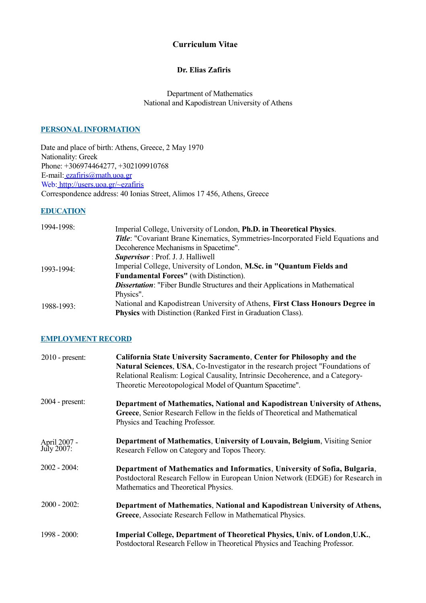# **Curriculum Vitae**

## **Dr. Elias Zafiris**

 Department of Mathematics National and Kapodistrean University of Athens

## **PERSONAL INFORMATION**

Date and place of birth: Athens, Greece, 2 May 1970 Nationality: Greek Phone: +306974464277, +302109910768 E-mail: ezafiris@math.uoa.gr Web: http://users.uoa.gr/~ezafiris Correspondence address: 40 Ionias Street, Alimos 17 456, Athens, Greece

### **EDUCATION**

| 1994-1998:    | Imperial College, University of London, Ph.D. in Theoretical Physics.                |
|---------------|--------------------------------------------------------------------------------------|
|               | Title: "Covariant Brane Kinematics, Symmetries-Incorporated Field Equations and      |
|               | Decoherence Mechanisms in Spacetime".                                                |
|               | <b>Supervisor</b> : Prof. J. J. Halliwell                                            |
| $1993 - 1994$ | Imperial College, University of London, M.Sc. in "Quantum Fields and                 |
|               | <b>Fundamental Forces"</b> (with Distinction).                                       |
|               | <b>Dissertation:</b> "Fiber Bundle Structures and their Applications in Mathematical |
|               | Physics".                                                                            |
| 1988-1993:    | National and Kapodistrean University of Athens, First Class Honours Degree in        |
|               | <b>Physics</b> with Distinction (Ranked First in Graduation Class).                  |

## **EMPLOYMENT RECORD**

| $2010$ - present:          | California State University Sacramento, Center for Philosophy and the<br><b>Natural Sciences, USA, Co-Investigator in the research project "Foundations of</b><br>Relational Realism: Logical Causality, Intrinsic Decoherence, and a Category-<br>Theoretic Mereotopological Model of Quantum Spacetime". |
|----------------------------|------------------------------------------------------------------------------------------------------------------------------------------------------------------------------------------------------------------------------------------------------------------------------------------------------------|
| $2004$ - present:          | Department of Mathematics, National and Kapodistrean University of Athens,<br>Greece, Senior Research Fellow in the fields of Theoretical and Mathematical<br>Physics and Teaching Professor.                                                                                                              |
| April 2007 -<br>July 2007: | Department of Mathematics, University of Louvain, Belgium, Visiting Senior<br>Research Fellow on Category and Topos Theory.                                                                                                                                                                                |
| $2002 - 2004$ :            | Department of Mathematics and Informatics, University of Sofia, Bulgaria,<br>Postdoctoral Research Fellow in European Union Network (EDGE) for Research in<br>Mathematics and Theoretical Physics.                                                                                                         |
| $2000 - 2002$ :            | Department of Mathematics, National and Kapodistrean University of Athens,<br>Greece, Associate Research Fellow in Mathematical Physics.                                                                                                                                                                   |
| 1998 - 2000:               | Imperial College, Department of Theoretical Physics, Univ. of London, U.K.,<br>Postdoctoral Research Fellow in Theoretical Physics and Teaching Professor.                                                                                                                                                 |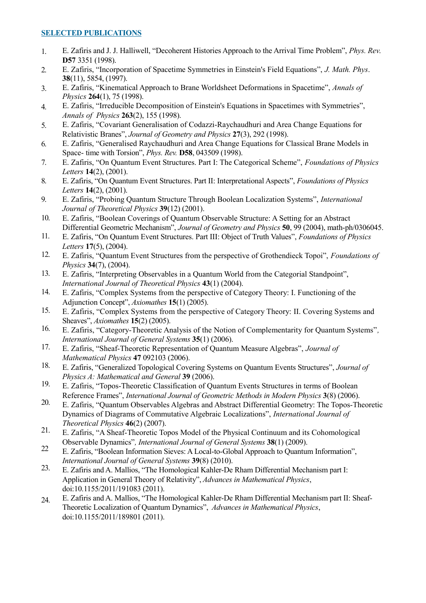# **SELECTED PUBLICATIONS**

- 1. E. Zafiris and J. J. Halliwell, "Decoherent Histories Approach to the Arrival Time Problem", *Phys. Rev*. **D57** 3351 (1998).
- 2. E. Zafiris, "Incorporation of Spacetime Symmetries in Einstein's Field Equations", *J. Math. Phys*. **38**(11), 5854, (1997).
- 3. E. Zafiris, "Kinematical Approach to Brane Worldsheet Deformations in Spacetime", *Annals of Physics* **264**(1), 75 (1998).
- 4. E. Zafiris, "Irreducible Decomposition of Einstein's Equations in Spacetimes with Symmetries", *Annals of Physics* **263**(2), 155 (1998).
- 5. E. Zafiris, "Covariant Generalisation of Codazzi-Raychaudhuri and Area Change Equations for Relativistic Branes", *Journal of Geometry and Physics* **27**(3), 292 (1998).
- 6. E. Zafiris, "Generalised Raychaudhuri and Area Change Equations for Classical Brane Models in Space- time with Torsion", *Phys. Rev.* **D58**, 043509 (1998).
- 7. E. Zafiris, "On Quantum Event Structures. Part I: The Categorical Scheme", *Foundations of Physics Letters* **14**(2), (2001).
- 8. E. Zafiris, "On Quantum Event Structures. Part II: Interpretational Aspects", *Foundations of Physics Letters* **14**(2), (2001).
- 9. E. Zafiris, "Probing Quantum Structure Through Boolean Localization Systems", *International Journal of Theoretical Physics* **39**(12) (2001).
- 10. E. Zafiris, "Boolean Coverings of Quantum Observable Structure: A Setting for an Abstract Differential Geometric Mechanism", *Journal of Geometry and Physics* **50**, 99 (2004), math-ph/0306045.
- 11. E. Zafiris, "On Quantum Event Structures. Part III: Object of Truth Values", *Foundations of Physics Letters* **17**(5), (2004).
- 12. E. Zafiris, "Quantum Event Structures from the perspective of Grothendieck Topoi", *Foundations of Physics* **34**(7), (2004).
- 13. E. Zafiris, "Interpreting Observables in a Quantum World from the Categorial Standpoint", *International Journal of Theoretical Physics* **43**(1) (2004).
- 14. E. Zafiris, "Complex Systems from the perspective of Category Theory: I. Functioning of the Adjunction Concept", *Axiomathes* **15**(1) (2005).
- 15. E. Zafiris, "Complex Systems from the perspective of Category Theory: II. Covering Systems and Sheaves", *Axiomathes* **15**(2) (2005).
- 16. E. Zafiris, "Category-Theoretic Analysis of the Notion of Complementarity for Quantum Systems"*, International Journal of General Systems* **35**(1) (2006).
- 17. E. Zafiris, "Sheaf-Theoretic Representation of Quantum Measure Algebras", *Journal of Mathematical Physics* **47** 092103 (2006).
- 18. E. Zafiris, "Generalized Topological Covering Systems on Quantum Events Structures", *Journal of Physics A: Mathematical and General* **39** (2006).
- 19. E. Zafiris, "Topos-Theoretic Classification of Quantum Events Structures in terms of Boolean Reference Frames", *International Journal of Geometric Methods in Modern Physics* **3**(8) (2006).
- 20. E. Zafiris, "Quantum Observables Algebras and Abstract Differential Geometry: The Topos-Theoretic Dynamics of Diagrams of Commutative Algebraic Localizations", *International Journal of Theoretical Physics* **46**(2) (2007).
- 21. E. Zafiris, "A Sheaf-Theoretic Topos Model of the Physical Continuum and its Cohomological Observable Dynamics"*, International Journal of General Systems* **38**(1) (2009).
- 22 E. Zafiris, "Boolean Information Sieves: A Local-to-Global Approach to Quantum Information", *International Journal of General Systems* **39**(8) (2010).
- 23. E. Zafiris and A. Mallios, "The Homological Kahler-De Rham Differential Mechanism part I: Application in General Theory of Relativity", *Advances in Mathematical Physics*, doi:10.1155/2011/191083 (2011).
- 24. E. Zafiris and A. Mallios, "The Homological Kahler-De Rham Differential Mechanism part II: Sheaf-Theoretic Localization of Quantum Dynamics", *Advances in Mathematical Physics*, doi:10.1155/2011/189801 (2011).